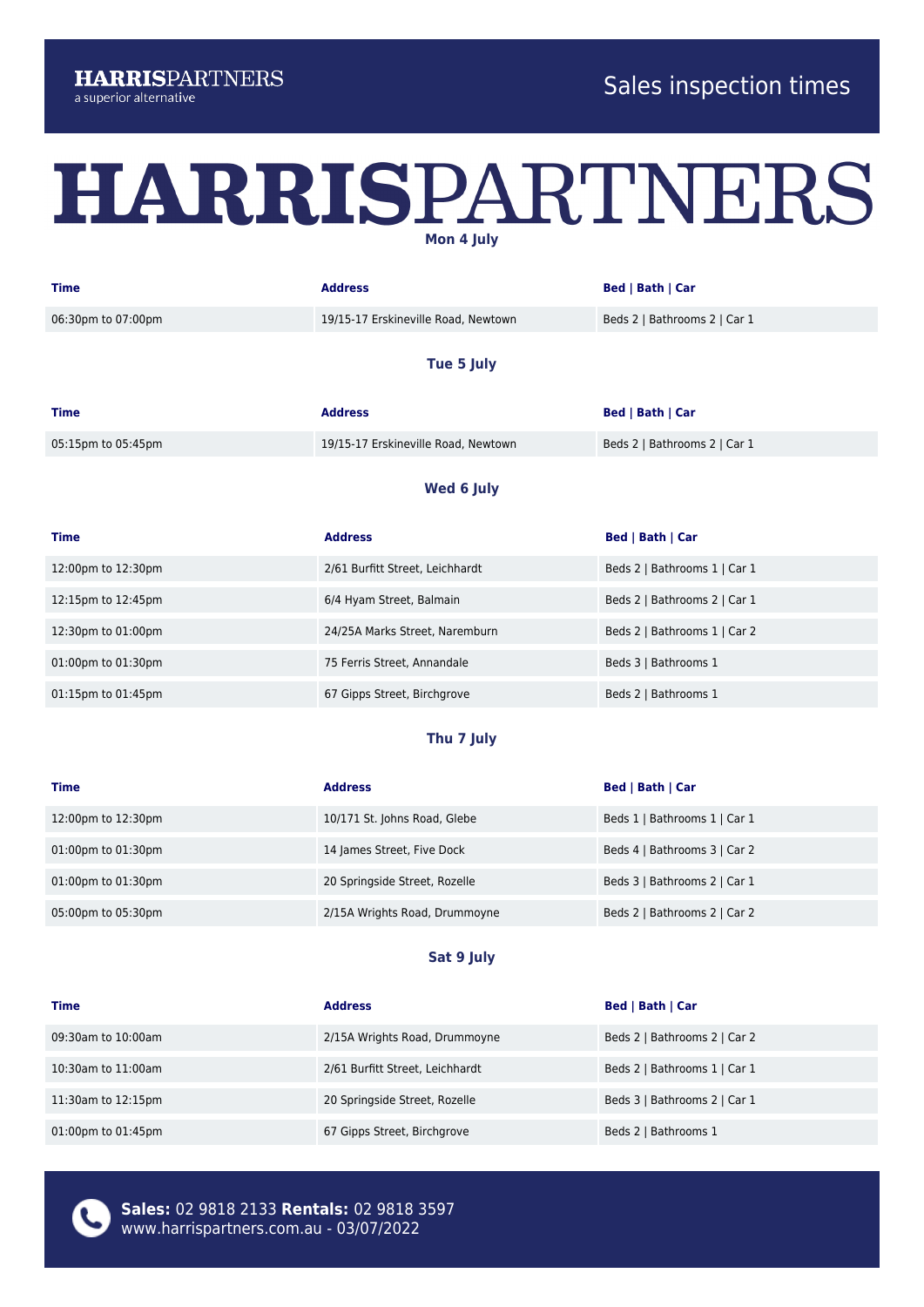## HARRISPARTNERS **Mon 4 July**

| <b>Time</b>        | <b>Address</b>                      | Bed   Bath   Car             |
|--------------------|-------------------------------------|------------------------------|
| 06:30pm to 07:00pm | 19/15-17 Erskineville Road, Newtown | Beds 2   Bathrooms 2   Car 1 |

#### **Tue 5 July**

| <b>Time</b>        | <b>Address</b>                      | <b>Bed   Bath   Car</b>      |
|--------------------|-------------------------------------|------------------------------|
| 05:15pm to 05:45pm | 19/15-17 Erskineville Road, Newtown | Beds 2   Bathrooms 2   Car 1 |

#### **Wed 6 July**

| <b>Time</b>              | <b>Address</b>                  | <b>Bed   Bath   Car</b>      |
|--------------------------|---------------------------------|------------------------------|
| 12:00pm to 12:30pm       | 2/61 Burfitt Street, Leichhardt | Beds 2   Bathrooms 1   Car 1 |
| 12:15pm to 12:45pm       | 6/4 Hyam Street, Balmain        | Beds 2   Bathrooms 2   Car 1 |
| 12:30pm to 01:00pm       | 24/25A Marks Street, Naremburn  | Beds 2   Bathrooms 1   Car 2 |
| 01:00pm to 01:30pm       | 75 Ferris Street, Annandale     | Beds 3   Bathrooms 1         |
| $01:15$ pm to $01:45$ pm | 67 Gipps Street, Birchgrove     | Beds 2   Bathrooms 1         |

### **Thu 7 July**

| <b>Time</b>        | <b>Address</b>                | <b>Bed   Bath   Car</b>      |
|--------------------|-------------------------------|------------------------------|
| 12:00pm to 12:30pm | 10/171 St. Johns Road, Glebe  | Beds 1   Bathrooms 1   Car 1 |
| 01:00pm to 01:30pm | 14 James Street, Five Dock    | Beds 4   Bathrooms 3   Car 2 |
| 01:00pm to 01:30pm | 20 Springside Street, Rozelle | Beds 3   Bathrooms 2   Car 1 |
| 05:00pm to 05:30pm | 2/15A Wrights Road, Drummoyne | Beds 2   Bathrooms 2   Car 2 |

#### **Sat 9 July**

| <b>Time</b>              | <b>Address</b>                  | Bed   Bath   Car             |
|--------------------------|---------------------------------|------------------------------|
| 09:30am to 10:00am       | 2/15A Wrights Road, Drummoyne   | Beds 2   Bathrooms 2   Car 2 |
| $10:30$ am to $11:00$ am | 2/61 Burfitt Street, Leichhardt | Beds 2   Bathrooms 1   Car 1 |
| 11:30am to 12:15pm       | 20 Springside Street, Rozelle   | Beds 3   Bathrooms 2   Car 1 |
| 01:00pm to 01:45pm       | 67 Gipps Street, Birchgrove     | Beds 2   Bathrooms 1         |



**Sales:** 02 9818 2133 **Rentals:** 02 9818 3597 www.harrispartners.com.au - 03/07/2022